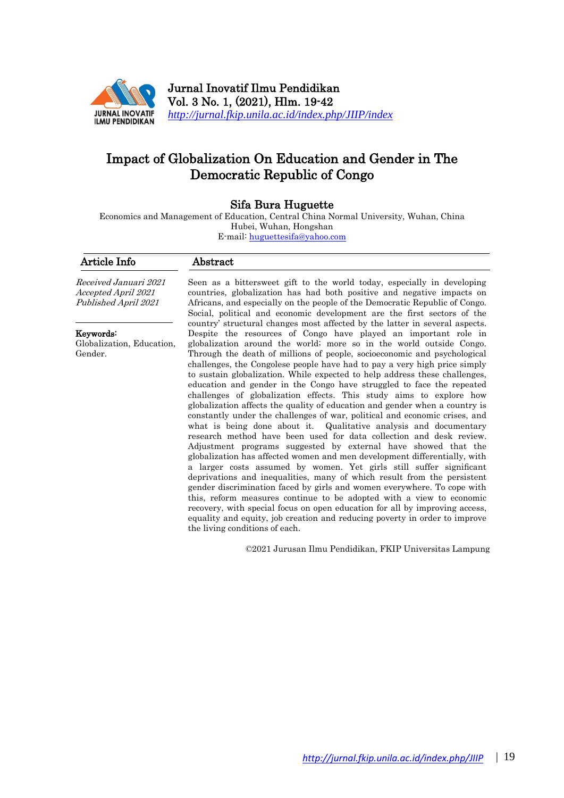

Jurnal Inovatif Ilmu Pendidikan Vol. 3 No. 1, (2021), Hlm. 19-42 *<http://jurnal.fkip.unila.ac.id/index.php/JIIP/index>*

# Impact of Globalization On Education and Gender in The Democratic Republic of Congo

## Sifa Bura Huguette

Economics and Management of Education, Central China Normal University, Wuhan, China Hubei, Wuhan, Hongshan E-mail: [huguettesifa@yahoo.com](mailto:huguettesifa@yahoo.com)

| Article Info                                                                       | Abstract                                                                                                                                                                                                                                                                                                                                                                                                                                                                                                                                                                                                                                                                                                                                                                                                                                                                                                                                                                                                                                                                                                                                                                                                                                                                                                                                                                                                                                                                                                                                                                 |
|------------------------------------------------------------------------------------|--------------------------------------------------------------------------------------------------------------------------------------------------------------------------------------------------------------------------------------------------------------------------------------------------------------------------------------------------------------------------------------------------------------------------------------------------------------------------------------------------------------------------------------------------------------------------------------------------------------------------------------------------------------------------------------------------------------------------------------------------------------------------------------------------------------------------------------------------------------------------------------------------------------------------------------------------------------------------------------------------------------------------------------------------------------------------------------------------------------------------------------------------------------------------------------------------------------------------------------------------------------------------------------------------------------------------------------------------------------------------------------------------------------------------------------------------------------------------------------------------------------------------------------------------------------------------|
| <i>Received Januari 2021</i><br><i>Accepted April 2021</i><br>Published April 2021 | Seen as a bitters weet gift to the world today, especially in developing<br>countries, globalization has had both positive and negative impacts on<br>Africans, and especially on the people of the Democratic Republic of Congo.<br>Social, political and economic development are the first sectors of the                                                                                                                                                                                                                                                                                                                                                                                                                                                                                                                                                                                                                                                                                                                                                                                                                                                                                                                                                                                                                                                                                                                                                                                                                                                             |
| Keywords:<br>Globalization, Education,<br>Gender.                                  | country' structural changes most affected by the latter in several aspects.<br>Despite the resources of Congo have played an important role in<br>globalization around the world; more so in the world outside Congo.<br>Through the death of millions of people, socioeconomic and psychological<br>challenges, the Congolese people have had to pay a very high price simply<br>to sustain globalization. While expected to help address these challenges,<br>education and gender in the Congo have struggled to face the repeated<br>challenges of globalization effects. This study aims to explore how<br>globalization affects the quality of education and gender when a country is<br>constantly under the challenges of war, political and economic crises, and<br>what is being done about it. Qualitative analysis and documentary<br>research method have been used for data collection and desk review.<br>Adjustment programs suggested by external have showed that the<br>globalization has affected women and men development differentially, with<br>a larger costs assumed by women. Yet girls still suffer significant<br>deprivations and inequalities, many of which result from the persistent<br>gender discrimination faced by girls and women everywhere. To cope with<br>this, reform measures continue to be adopted with a view to economic<br>recovery, with special focus on open education for all by improving access,<br>equality and equity, job creation and reducing poverty in order to improve<br>the living conditions of each. |

©2021 Jurusan Ilmu Pendidikan, FKIP Universitas Lampung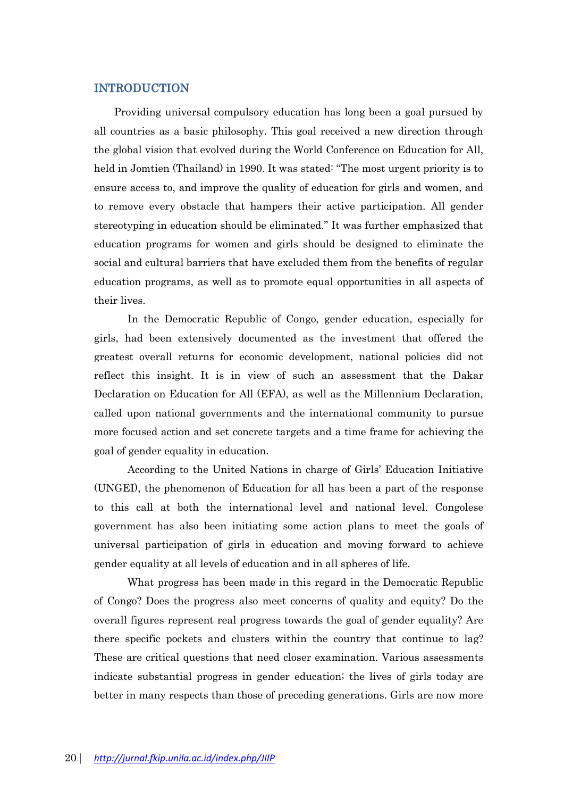# INTRODUCTION

Providing universal compulsory education has long been a goal pursued by all countries as a basic philosophy. This goal received a new direction through the global vision that evolved during the World Conference on Education for All, held in Jomtien (Thailand) in 1990. It was stated: "The most urgent priority is to ensure access to, and improve the quality of education for girls and women, and to remove every obstacle that hampers their active participation. All gender stereotyping in education should be eliminated." It was further emphasized that education programs for women and girls should be designed to eliminate the social and cultural barriers that have excluded them from the benefits of regular education programs, as well as to promote equal opportunities in all aspects of their lives.

In the Democratic Republic of Congo, gender education, especially for girls, had been extensively documented as the investment that offered the greatest overall returns for economic development, national policies did not reflect this insight. It is in view of such an assessment that the Dakar Declaration on Education for All (EFA), as well as the Millennium Declaration, called upon national governments and the international community to pursue more focused action and set concrete targets and a time frame for achieving the goal of gender equality in education.

According to the United Nations in charge of Girls' Education Initiative (UNGEI), the phenomenon of Education for all has been a part of the response to this call at both the international level and national level. Congolese government has also been initiating some action plans to meet the goals of universal participation of girls in education and moving forward to achieve gender equality at all levels of education and in all spheres of life.

What progress has been made in this regard in the Democratic Republic of Congo? Does the progress also meet concerns of quality and equity? Do the overall figures represent real progress towards the goal of gender equality? Are there specific pockets and clusters within the country that continue to lag? These are critical questions that need closer examination. Various assessments indicate substantial progress in gender education; the lives of girls today are better in many respects than those of preceding generations. Girls are now more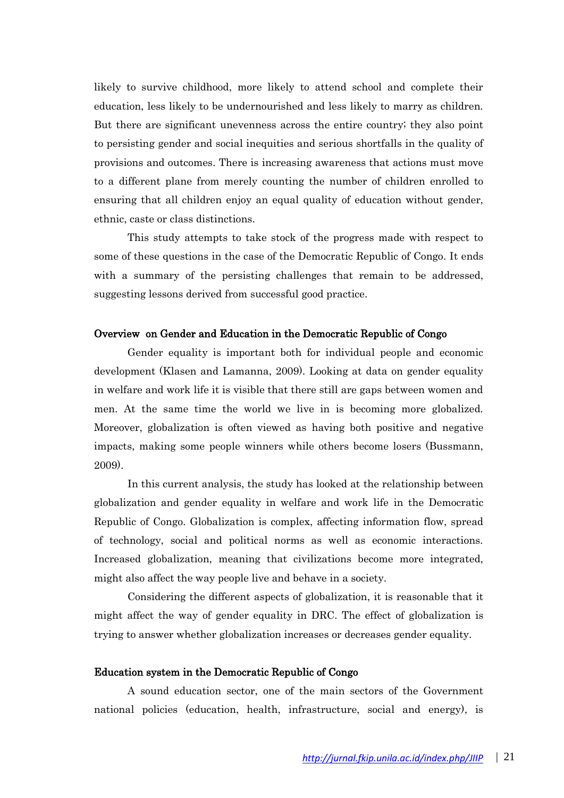likely to survive childhood, more likely to attend school and complete their education, less likely to be undernourished and less likely to marry as children. But there are significant unevenness across the entire country; they also point to persisting gender and social inequities and serious shortfalls in the quality of provisions and outcomes. There is increasing awareness that actions must move to a different plane from merely counting the number of children enrolled to ensuring that all children enjoy an equal quality of education without gender, ethnic, caste or class distinctions.

This study attempts to take stock of the progress made with respect to some of these questions in the case of the Democratic Republic of Congo. It ends with a summary of the persisting challenges that remain to be addressed, suggesting lessons derived from successful good practice.

#### Overview on Gender and Education in the Democratic Republic of Congo

Gender equality is important both for individual people and economic development (Klasen and Lamanna, 2009). Looking at data on gender equality in welfare and work life it is visible that there still are gaps between women and men. At the same time the world we live in is becoming more globalized. Moreover, globalization is often viewed as having both positive and negative impacts, making some people winners while others become losers (Bussmann, 2009).

In this current analysis, the study has looked at the relationship between globalization and gender equality in welfare and work life in the Democratic Republic of Congo. Globalization is complex, affecting information flow, spread of technology, social and political norms as well as economic interactions. Increased globalization, meaning that civilizations become more integrated, might also affect the way people live and behave in a society.

Considering the different aspects of globalization, it is reasonable that it might affect the way of gender equality in DRC. The effect of globalization is trying to answer whether globalization increases or decreases gender equality.

#### Education system in the Democratic Republic of Congo

A sound education sector, one of the main sectors of the Government national policies (education, health, infrastructure, social and energy), is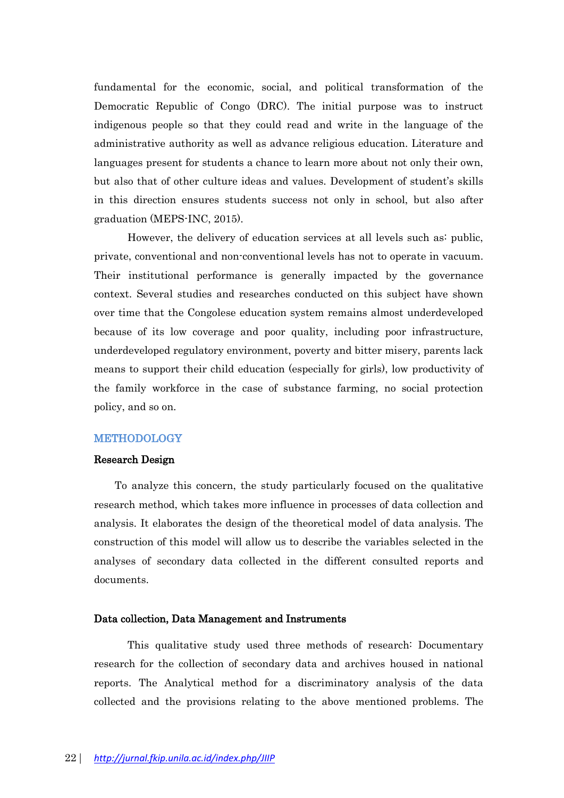fundamental for the economic, social, and political transformation of the Democratic Republic of Congo (DRC). The initial purpose was to instruct indigenous people so that they could read and write in the language of the administrative authority as well as advance religious education. Literature and languages present for students a chance to learn more about not only their own, but also that of other culture ideas and values. Development of student's skills in this direction ensures students success not only in school, but also after graduation (MEPS-INC, 2015).

However, the delivery of education services at all levels such as: public, private, conventional and non-conventional levels has not to operate in vacuum. Their institutional performance is generally impacted by the governance context. Several studies and researches conducted on this subject have shown over time that the Congolese education system remains almost underdeveloped because of its low coverage and poor quality, including poor infrastructure, underdeveloped regulatory environment, poverty and bitter misery, parents lack means to support their child education (especially for girls), low productivity of the family workforce in the case of substance farming, no social protection policy, and so on.

#### METHODOLOGY

#### Research Design

To analyze this concern, the study particularly focused on the qualitative research method, which takes more influence in processes of data collection and analysis. It elaborates the design of the theoretical model of data analysis. The construction of this model will allow us to describe the variables selected in the analyses of secondary data collected in the different consulted reports and documents.

#### Data collection, Data Management and Instruments

This qualitative study used three methods of research: Documentary research for the collection of secondary data and archives housed in national reports. The Analytical method for a discriminatory analysis of the data collected and the provisions relating to the above mentioned problems. The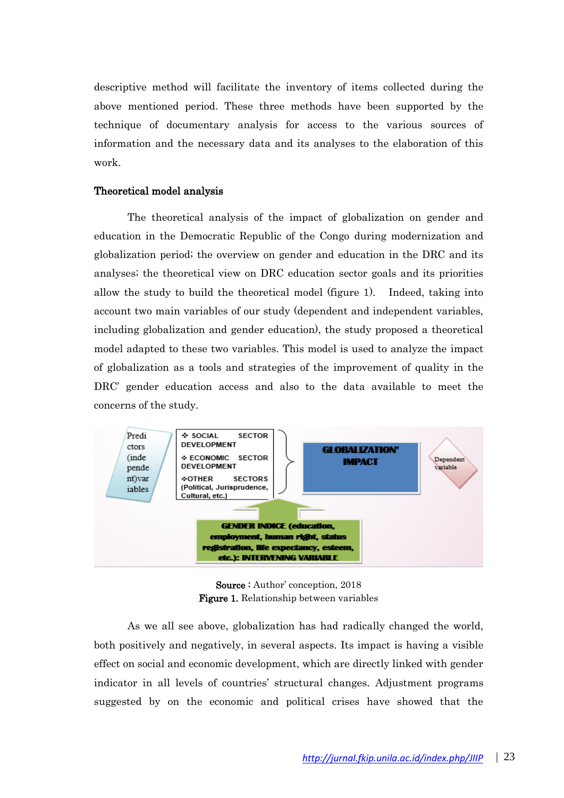descriptive method will facilitate the inventory of items collected during the above mentioned period. These three methods have been supported by the technique of documentary analysis for access to the various sources of information and the necessary data and its analyses to the elaboration of this work.

## Theoretical model analysis

The theoretical analysis of the impact of globalization on gender and education in the Democratic Republic of the Congo during modernization and globalization period; the overview on gender and education in the DRC and its analyses; the theoretical view on DRC education sector goals and its priorities allow the study to build the theoretical model (figure 1). Indeed, taking into account two main variables of our study (dependent and independent variables, including globalization and gender education), the study proposed a theoretical model adapted to these two variables. This model is used to analyze the impact of globalization as a tools and strategies of the improvement of quality in the DRC' gender education access and also to the data available to meet the concerns of the study.



Source : Author' conception, 2018 Figure 1. Relationship between variables

As we all see above, globalization has had radically changed the world, both positively and negatively, in several aspects. Its impact is having a visible effect on social and economic development, which are directly linked with gender indicator in all levels of countries' structural changes. Adjustment programs suggested by on the economic and political crises have showed that the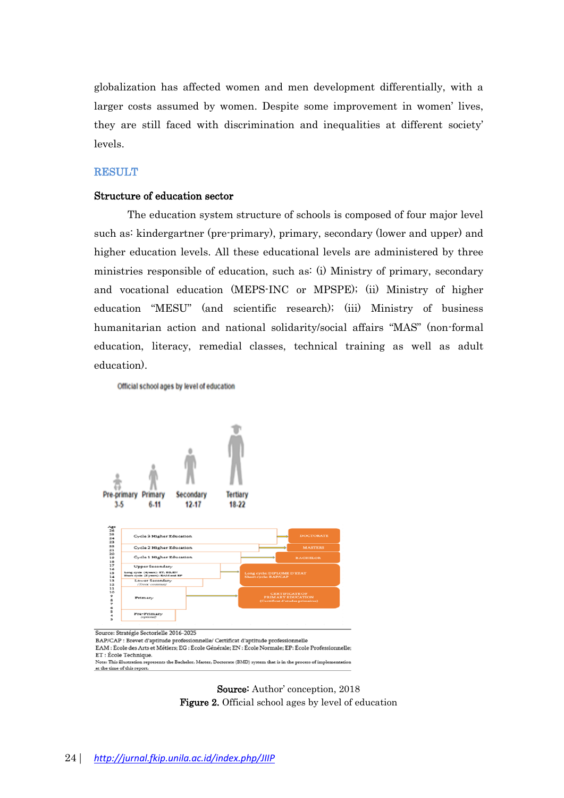globalization has affected women and men development differentially, with a larger costs assumed by women. Despite some improvement in women' lives, they are still faced with discrimination and inequalities at different society' levels.

### **RESULT**

#### Structure of education sector

The education system structure of schools is composed of four major level such as: kindergartner (pre-primary), primary, secondary (lower and upper) and higher education levels. All these educational levels are administered by three ministries responsible of education, such as: (i) Ministry of primary, secondary and vocational education (MEPS-INC or MPSPE); (ii) Ministry of higher education "MESU" (and scientific research); (iii) Ministry of business humanitarian action and national solidarity/social affairs "MAS" (non-formal education, literacy, remedial classes, technical training as well as adult education).

Official school ages by level of education



ET: École Technique. Note: This illustration represents the Bachelor, Master, Doctorate (BMD) system that is in the process of implementation at the time of this report.

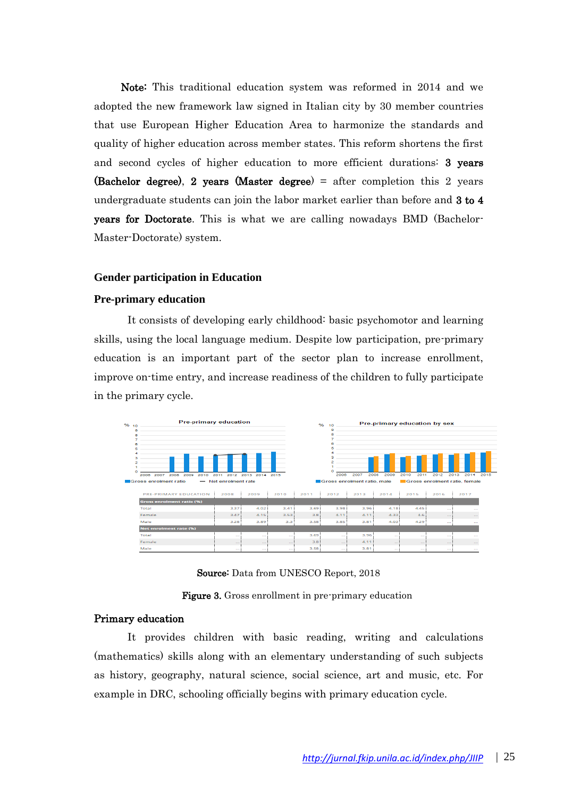Note: This traditional education system was reformed in 2014 and we adopted the new framework law signed in Italian city by 30 member countries that use European Higher Education Area to harmonize the standards and quality of higher education across member states. This reform shortens the first and second cycles of higher education to more efficient durations: 3 years (Bachelor degree), 2 years (Master degree) = after completion this 2 years undergraduate students can join the labor market earlier than before and 3 to 4 years for Doctorate. This is what we are calling nowadays BMD (Bachelor-Master-Doctorate) system.

#### **Gender participation in Education**

#### **Pre-primary education**

It consists of developing early childhood: basic psychomotor and learning skills, using the local language medium. Despite low participation, pre-primary education is an important part of the sector plan to increase enrollment, improve on-time entry, and increase readiness of the children to fully participate in the primary cycle.



Source: Data from UNESCO Report, 2018

Figure 3. Gross enrollment in pre-primary education

# Primary education

It provides children with basic reading, writing and calculations (mathematics) skills along with an elementary understanding of such subjects as history, geography, natural science, social science, art and music, etc. For example in DRC, schooling officially begins with primary education cycle.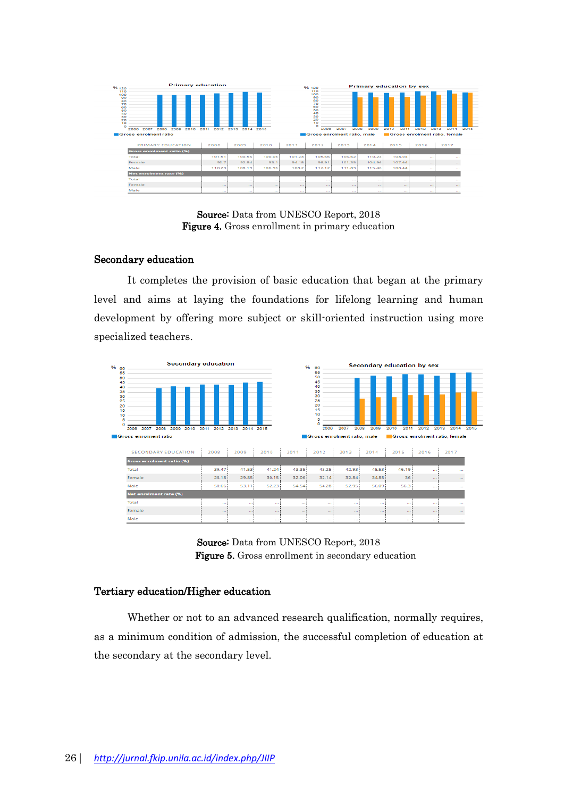| %120                                                                            | <b>Primary education</b>             |                 |                 |           |          | % 120                                                            |        |              | <b>Primary education by sex</b> |                               |               |      |
|---------------------------------------------------------------------------------|--------------------------------------|-----------------|-----------------|-----------|----------|------------------------------------------------------------------|--------|--------------|---------------------------------|-------------------------------|---------------|------|
| 110<br>100<br>90<br>80<br>70<br>$60^{\circ}$<br>50<br>40<br>30<br>20<br>10<br>o |                                      |                 |                 |           |          | 110<br>100<br>90<br>80<br>70<br>60<br>50<br>40<br>30<br>20<br>10 |        |              |                                 |                               | --<br>--<br>- |      |
|                                                                                 | 2007<br>2008<br>2009<br>2010<br>2006 | 2011<br>2012    | 2013            | 2014 2015 |          | 2006                                                             | 2007   | 2008<br>2009 | 2010<br>2011                    | 2012                          | 2013<br>2014  | 2015 |
|                                                                                 | Gross enrolment ratio                |                 |                 |           |          | Gross enrolment ratio, male                                      |        |              |                                 | Gross enrolment ratio, female |               |      |
|                                                                                 | PRIMARY EDUCATION                    | 2008            | 2009            | 2010      | 2011     | 2012                                                             | 2013   | 2014         | 2015                            | 2016                          | 2017          |      |
|                                                                                 | <b>Gross enrolment ratio (%)</b>     |                 |                 |           |          |                                                                  |        |              |                                 |                               |               |      |
|                                                                                 | Total                                | 101.51          | 100.55          | 100.06    | 101.23   | 105.56                                                           | 106.62 | 110,24       | 108.04                          | $\sim$                        | <b>STATE</b>  |      |
|                                                                                 | Female                               | 92.7            | 92.84           | 93.1      | 94.18    | 98.91                                                            | 101.35 | 104.96       | 107.64                          | $\sim$                        | $-$           |      |
|                                                                                 | Male                                 | 110.23          | 108.19          | 106.96    | 108.2    | 112.12                                                           | 111.83 | 115.46       | 108.44                          | $\sim$                        | $\sim$        |      |
|                                                                                 | <b>Net enrolment rate (%)</b>        |                 |                 |           |          |                                                                  |        |              |                                 |                               |               |      |
|                                                                                 | Total                                | 10000           | 1.11            | 1.11      | $\cdots$ | 1.11                                                             | 10000  | $1 - 1$      | 1.11                            | $1 - 1$                       | ---           |      |
|                                                                                 | Female                               | $\sim$          | $\sim$          | $\sim$    | $\sim$   | $\sim$                                                           | -      | $\sim$       | $\sim$                          | $\sim$                        | $\sim$        |      |
|                                                                                 | Male                                 | <b>Contract</b> | <b>Contract</b> | $\sim$    | $\sim$   | <b>STATE</b>                                                     | $\sim$ | $\sim$       | $\sim$                          | $\sim$                        | $\sim$        |      |

Source: Data from UNESCO Report, 2018 Figure 4. Gross enrollment in primary education

### Secondary education

It completes the provision of basic education that began at the primary level and aims at laying the foundations for lifelong learning and human development by offering more subject or skill-oriented instruction using more specialized teachers.



Source: Data from UNESCO Report, 2018 Figure 5. Gross enrollment in secondary education

### Tertiary education/Higher education

Whether or not to an advanced research qualification, normally requires, as a minimum condition of admission, the successful completion of education at the secondary at the secondary level.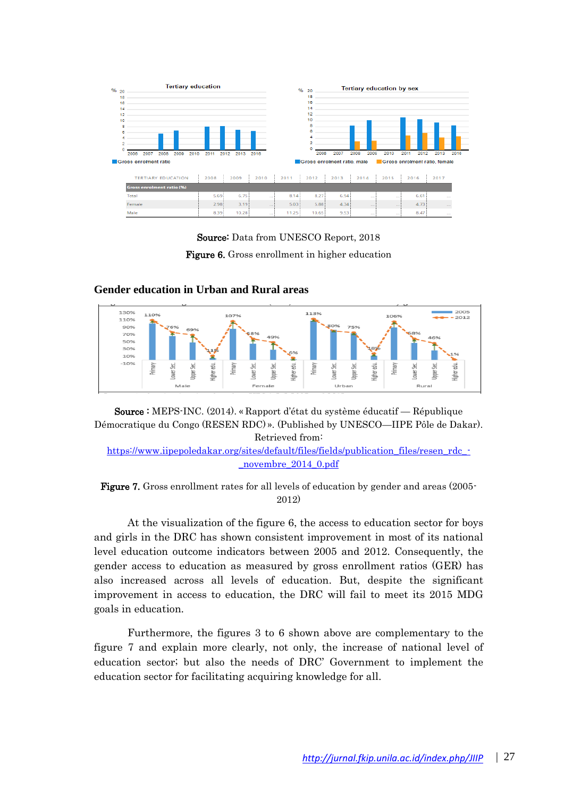





**Gender education in Urban and Rural areas**

Source : MEPS-INC. (2014). « Rapport d'état du système éducatif — République Démocratique du Congo (RESEN RDC) ». (Published by UNESCO—IIPE Pôle de Dakar). Retrieved from:

[https://www.iipepoledakar.org/sites/default/files/fields/publication\\_files/resen\\_rdc\\_-](https://www.iipepoledakar.org/sites/default/files/fields/publication_files/resen_rdc_-_novembre_2014_0.pdf) [\\_novembre\\_2014\\_0.pdf](https://www.iipepoledakar.org/sites/default/files/fields/publication_files/resen_rdc_-_novembre_2014_0.pdf)



At the visualization of the figure 6, the access to education sector for boys and girls in the DRC has shown consistent improvement in most of its national level education outcome indicators between 2005 and 2012. Consequently, the gender access to education as measured by gross enrollment ratios (GER) has also increased across all levels of education. But, despite the significant improvement in access to education, the DRC will fail to meet its 2015 MDG goals in education.

Furthermore, the figures 3 to 6 shown above are complementary to the figure 7 and explain more clearly, not only, the increase of national level of education sector; but also the needs of DRC' Government to implement the education sector for facilitating acquiring knowledge for all.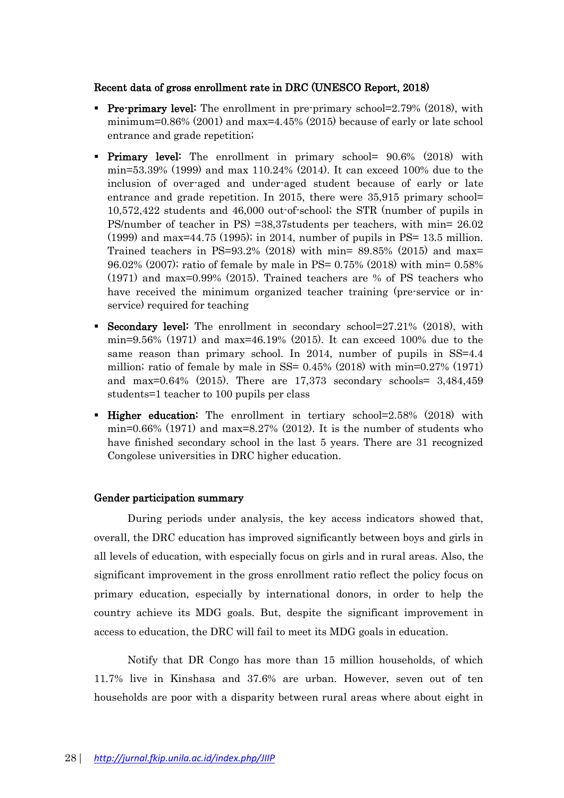# Recent data of gross enrollment rate in DRC (UNESCO Report, 2018)

- **Pre-primary level:** The enrollment in pre-primary school=2.79% (2018), with minimum=0.86%  $(2001)$  and max=4.45%  $(2015)$  because of early or late school entrance and grade repetition;
- Primary level: The enrollment in primary school= 90.6% (2018) with min=53.39% (1999) and max 110.24% (2014). It can exceed 100% due to the inclusion of over-aged and under-aged student because of early or late entrance and grade repetition. In 2015, there were 35,915 primary school= 10,572,422 students and 46,000 out-of-school; the STR (number of pupils in PS/number of teacher in PS) =38,37students per teachers, with min= 26.02 (1999) and max=44.75 (1995); in 2014, number of pupils in PS= 13.5 million. Trained teachers in PS=93.2% (2018) with min=  $89.85\%$  (2015) and max= 96.02% (2007); ratio of female by male in PS= 0.75% (2018) with min= 0.58% (1971) and max=0.99% (2015). Trained teachers are % of PS teachers who have received the minimum organized teacher training (pre-service or inservice) required for teaching
- Secondary level: The enrollment in secondary school=27.21% (2018), with min=9.56% (1971) and max=46.19% (2015). It can exceed 100% due to the same reason than primary school. In 2014, number of pupils in SS=4.4 million; ratio of female by male in SS=  $0.45\%$  (2018) with min= $0.27\%$  (1971) and max=0.64% (2015). There are 17,373 secondary schools= 3,484,459 students=1 teacher to 100 pupils per class
- Higher education: The enrollment in tertiary school=2.58% (2018) with min=0.66% (1971) and max=8.27% (2012). It is the number of students who have finished secondary school in the last 5 years. There are 31 recognized Congolese universities in DRC higher education.

# Gender participation summary

During periods under analysis, the key access indicators showed that, overall, the DRC education has improved significantly between boys and girls in all levels of education, with especially focus on girls and in rural areas. Also, the significant improvement in the gross enrollment ratio reflect the policy focus on primary education, especially by international donors, in order to help the country achieve its MDG goals. But, despite the significant improvement in access to education, the DRC will fail to meet its MDG goals in education.

Notify that DR Congo has more than 15 million households, of which 11.7% live in Kinshasa and 37.6% are urban. However, seven out of ten households are poor with a disparity between rural areas where about eight in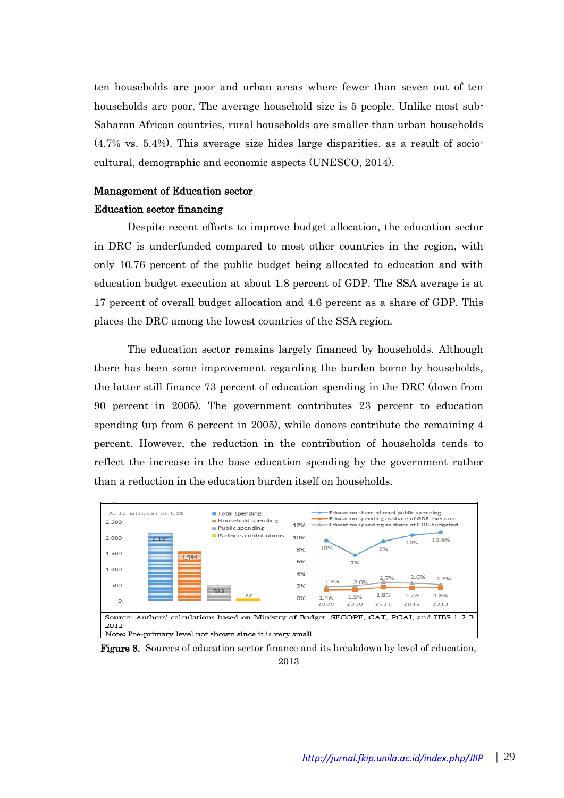ten households are poor and urban areas where fewer than seven out of ten households are poor. The average household size is 5 people. Unlike most sub-Saharan African countries, rural households are smaller than urban households (4.7% vs. 5.4%). This average size hides large disparities, as a result of sociocultural, demographic and economic aspects (UNESCO, 2014).

# Management of Education sector

### Education sector financing

Despite recent efforts to improve budget allocation, the education sector in DRC is underfunded compared to most other countries in the region, with only 10.76 percent of the public budget being allocated to education and with education budget execution at about 1.8 percent of GDP. The SSA average is at 17 percent of overall budget allocation and 4.6 percent as a share of GDP. This places the DRC among the lowest countries of the SSA region.

The education sector remains largely financed by households. Although there has been some improvement regarding the burden borne by households, the latter still finance 73 percent of education spending in the DRC (down from 90 percent in 2005). The government contributes 23 percent to education spending (up from 6 percent in 2005), while donors contribute the remaining 4 percent. However, the reduction in the contribution of households tends to reflect the increase in the base education spending by the government rather than a reduction in the education burden itself on households.



Figure 8. Sources of education sector finance and its breakdown by level of education, 2013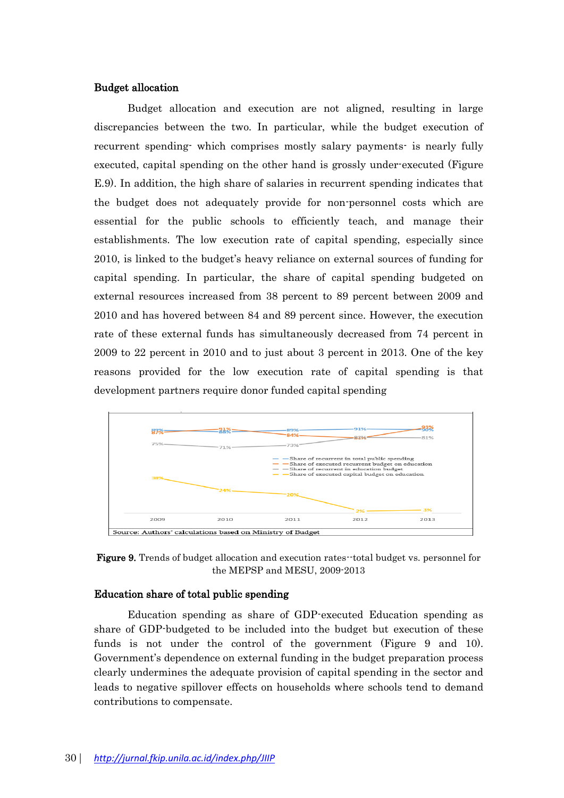## Budget allocation

Budget allocation and execution are not aligned, resulting in large discrepancies between the two. In particular, while the budget execution of recurrent spending- which comprises mostly salary payments- is nearly fully executed, capital spending on the other hand is grossly under-executed (Figure E.9). In addition, the high share of salaries in recurrent spending indicates that the budget does not adequately provide for non-personnel costs which are essential for the public schools to efficiently teach, and manage their establishments. The low execution rate of capital spending, especially since 2010, is linked to the budget's heavy reliance on external sources of funding for capital spending. In particular, the share of capital spending budgeted on external resources increased from 38 percent to 89 percent between 2009 and 2010 and has hovered between 84 and 89 percent since. However, the execution rate of these external funds has simultaneously decreased from 74 percent in 2009 to 22 percent in 2010 and to just about 3 percent in 2013. One of the key reasons provided for the low execution rate of capital spending is that development partners require donor funded capital spending



Figure 9. Trends of budget allocation and execution rates--total budget vs. personnel for the MEPSP and MESU, 2009-2013

#### Education share of total public spending

Education spending as share of GDP-executed Education spending as share of GDP-budgeted to be included into the budget but execution of these funds is not under the control of the government (Figure 9 and 10). Government's dependence on external funding in the budget preparation process clearly undermines the adequate provision of capital spending in the sector and leads to negative spillover effects on households where schools tend to demand contributions to compensate.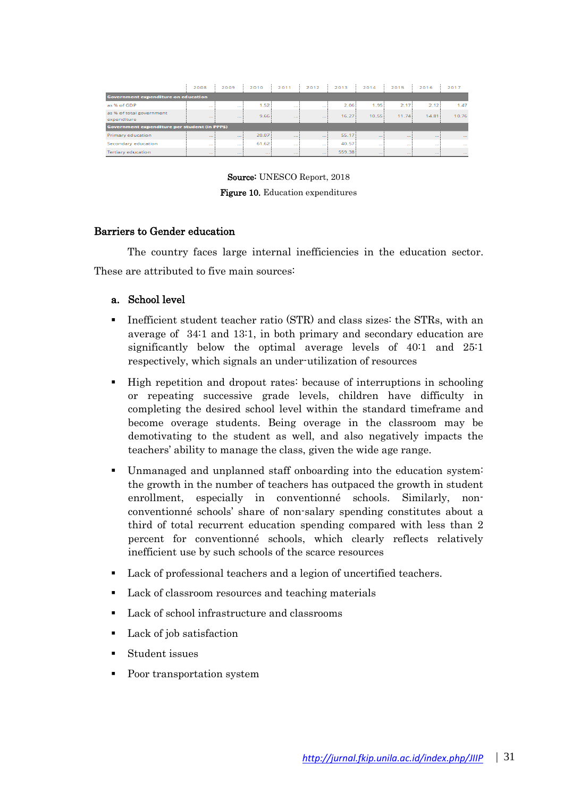|                                               | 2008         | 2009         | 2010         | 2011         | 2012         | 2013   | 2014              | 2015         | 2016              | 2017        |  |
|-----------------------------------------------|--------------|--------------|--------------|--------------|--------------|--------|-------------------|--------------|-------------------|-------------|--|
| <b>Government expenditure on education</b>    |              |              |              |              |              |        |                   |              |                   |             |  |
| as % of GDP                                   | $-$          | $\sim$       | 1.52         | $\sim$       | $\sim$       | 2.06   | 1.95 <sup>1</sup> | 2.17         | 2.12              | 1.47        |  |
| as % of total government<br>expenditure       | <b>STATE</b> | <b>STATE</b> | 9.66         | $-$          | $\sim$       | 16.27  | 10.55             | 11.74        | 14.81             | 10.76       |  |
| Government expenditure per student (in PPP\$) |              |              |              |              |              |        |                   |              |                   |             |  |
| Primary education                             | $-1$         | $\sim$       | 20.07        | $-$          | $-$          | 55.17  | $-1$              | <b>STATE</b> | <b>STATISTICS</b> | $\cdots$    |  |
| Secondary education                           | 1.11         | $\sim$       | 61.62        | 1.121        | $\sim$       | 40.57  | $\sim$            | 1.11         | $\sim$            | 1.11        |  |
| <b>Tertiary education</b>                     | <b>STATE</b> | <b>STATE</b> | <b>STATE</b> | <b>STATE</b> | <b>STATE</b> | 559.38 | <b>STATE</b>      | <b>STATE</b> | <b>STATE</b>      | <b>STAR</b> |  |

Source: UNESCO Report, 2018

Figure 10. Education expenditures

### Barriers to Gender education

The country faces large internal inefficiencies in the education sector. These are attributed to five main sources:

# a. School level

- Inefficient student teacher ratio (STR) and class sizes: the STRs, with an average of 34:1 and 13:1, in both primary and secondary education are significantly below the optimal average levels of 40:1 and 25:1 respectively, which signals an under-utilization of resources
- High repetition and dropout rates: because of interruptions in schooling or repeating successive grade levels, children have difficulty in completing the desired school level within the standard timeframe and become overage students. Being overage in the classroom may be demotivating to the student as well, and also negatively impacts the teachers' ability to manage the class, given the wide age range.
- Unmanaged and unplanned staff onboarding into the education system: the growth in the number of teachers has outpaced the growth in student enrollment, especially in conventionné schools. Similarly, nonconventionné schools' share of non-salary spending constitutes about a third of total recurrent education spending compared with less than 2 percent for conventionné schools, which clearly reflects relatively inefficient use by such schools of the scarce resources
- Lack of professional teachers and a legion of uncertified teachers.
- Lack of classroom resources and teaching materials
- Lack of school infrastructure and classrooms
- Lack of job satisfaction
- Student issues
- Poor transportation system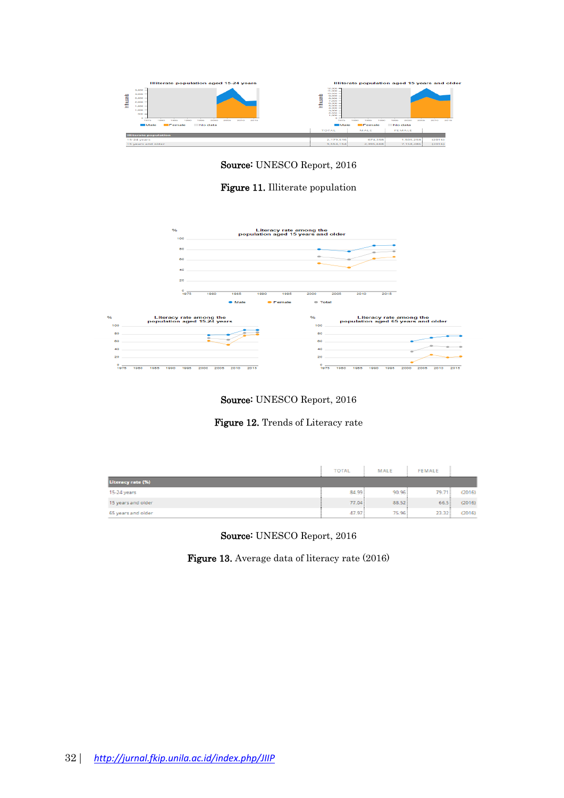

Source: UNESCO Report, 2016

# Figure 11. Illiterate population







|                    | <b>TOTAL</b> | MALE  | <b>FEMALE</b> |        |
|--------------------|--------------|-------|---------------|--------|
| Literacy rate (%)  |              |       |               |        |
| 15-24 years        | 84.99        | 90.96 | 79.71         | (2016) |
| 15 years and older | 77.04        | 88.52 | 66.5          | (2016) |
| 65 years and older | 47.97        | 75.96 | 23.32         | (2016) |

Source: UNESCO Report, 2016

Figure 13. Average data of literacy rate (2016)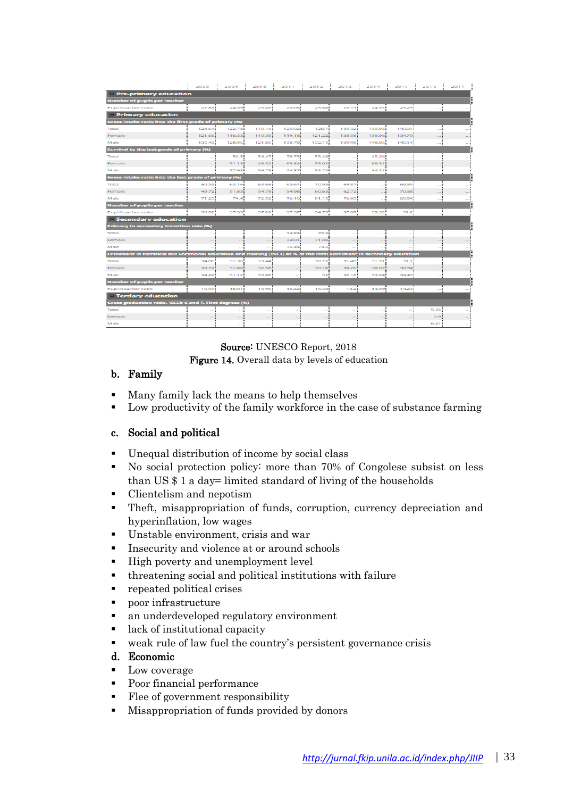|                                                                                                                        | 2008   | 2009   | 2010   | 2011   | 2012   | 2013   | 2014   | 2015        | 2016 | 2017 |  |
|------------------------------------------------------------------------------------------------------------------------|--------|--------|--------|--------|--------|--------|--------|-------------|------|------|--|
| Pre-primary education                                                                                                  |        |        |        |        |        |        |        |             |      |      |  |
| <b>Number of pupils per teacher</b>                                                                                    |        |        |        |        |        |        |        |             |      |      |  |
| Pupil/teacher ratio                                                                                                    | 27.81  | 24.59  | 25.49  | 25.03  | 25.68  | 25.71  | 24.57  | 23.29       |      |      |  |
| <b>Primary education</b>                                                                                               |        |        |        |        |        |        |        |             |      |      |  |
| Gross intake ratio into the first grade of primary (%)                                                                 |        |        |        |        |        |        |        |             |      |      |  |
| Total                                                                                                                  | 128.61 | 122.78 | 116.16 | 125.02 | 126.7  | 135.32 | 135.95 | 140.01      |      |      |  |
| Female                                                                                                                 | 121.66 | 116.53 | 110.39 | 119.18 | 121.22 | 130.58 | 130.96 | 134.79      |      |      |  |
| Male                                                                                                                   | 135.49 | 128.96 | 121.86 | 130.78 | 132.11 | 139.98 | 140.86 | 1.45.14     |      |      |  |
| Survival to the last grade of primary (%)                                                                              |        |        |        |        |        |        |        |             |      |      |  |
| Total                                                                                                                  |        | 54.8   | 54.47  | 70.73  | 55.44  | $\sim$ | 45.26  |             | -- 1 |      |  |
| Female                                                                                                                 |        | 51.13  | 48.52  | 65.84  | 55.01  | $-$    | 60.51  | $-1$        |      |      |  |
| Male                                                                                                                   |        | 57.98  | 59.73  | 74.87  | 55.74  | $\sim$ | 34.41  | $-1$        |      |      |  |
| Gross Intake ratio into the last grade of primary (%)                                                                  |        |        |        |        |        |        |        |             |      |      |  |
| Total                                                                                                                  | 60.55  | 63.16  | 63.68  | 65.61  | 70.95  | 69.81  |        | 69.95       |      |      |  |
| Female                                                                                                                 | 49.72  | 51.83  | 54.78  | 54.98  | 60.65  | 62.72  |        | 70.38       |      |      |  |
| Male                                                                                                                   | 71.29  | 74.4   | 72.52  | 76.16  | 81.15  | 76.83  |        | 69.54       |      |      |  |
| <b>Number of pupils per teacher</b>                                                                                    |        |        |        |        |        |        |        |             |      |      |  |
| Pupil/teacher ratio                                                                                                    | 39.02  | 37.33  | 37.01  | 37.37  | 34.75  | 37.07  | 35.32  | 33.25       |      |      |  |
| Secondary education                                                                                                    |        |        |        |        |        |        |        |             |      |      |  |
| Primary to secondary transition rate (%)                                                                               |        |        |        |        |        |        |        |             |      |      |  |
| Total                                                                                                                  |        |        |        | 74.84  | 72.3   |        |        |             |      |      |  |
| Female                                                                                                                 | ÷.     |        |        | 74.01  | 71.08  |        |        | ---         |      |      |  |
| Male                                                                                                                   | ---    | ---    |        | 75.44  | 73.2   | $-1$   | $-$    | <b>1999</b> | ---  |      |  |
| Enrolment in technical and vocational education and training (TVET) as % of the total enrolment in secondary education |        |        |        |        |        |        |        |             |      |      |  |
| Total                                                                                                                  | 34.06  | 31.36  | 33.44  |        | 30.71  | 31.49  | 31.91  | 33.1        |      |      |  |
| Female                                                                                                                 | 33.72  | 31.86  | 32.58  |        | 30.18  | 30.26  | 30.02  | 30.94       |      |      |  |
| Male                                                                                                                   | 34.22  | 31.12  | 33,88  |        | зні    | 32.18  | 33.04  | 34.43       |      |      |  |
| <b>Number of pupils per teacher</b>                                                                                    |        |        |        |        |        |        |        |             |      |      |  |
| Pupil/teacher ratio                                                                                                    | 16.57  | 16.01  | 15.96  | 15.22  | 15.34  | 14.2   | 14.59  | 14.24       |      |      |  |
| <b>Tertiary education</b>                                                                                              |        |        |        |        |        |        |        |             |      |      |  |
| Gross graduation ratio. ISCED 6 and 7. First degrees (%)                                                               |        |        |        |        |        |        |        |             |      |      |  |
| Total                                                                                                                  |        |        | ---    |        | $\sim$ | $\sim$ | $\sim$ |             | 5.16 |      |  |
| Female                                                                                                                 |        |        |        |        |        |        |        |             | 3.9  |      |  |
| Male                                                                                                                   |        | $\sim$ | ---    | ---    |        |        |        |             | 6.41 |      |  |

# Source: UNESCO Report, 2018

Figure 14. Overall data by levels of education

# b. Family

- Many family lack the means to help themselves
- Low productivity of the family workforce in the case of substance farming

# c. Social and political

- Unequal distribution of income by social class
- No social protection policy: more than 70% of Congolese subsist on less than US \$ 1 a day= limited standard of living of the households
- Clientelism and nepotism
- Theft, misappropriation of funds, corruption, currency depreciation and hyperinflation, low wages
- Unstable environment, crisis and war
- **•** Insecurity and violence at or around schools
- High poverty and unemployment level
- threatening social and political institutions with failure
- repeated political crises
- poor infrastructure
- an underdeveloped regulatory environment
- lack of institutional capacity
- weak rule of law fuel the country's persistent governance crisis

### d. Economic

- Low coverage
- Poor financial performance
- Flee of government responsibility
- Misappropriation of funds provided by donors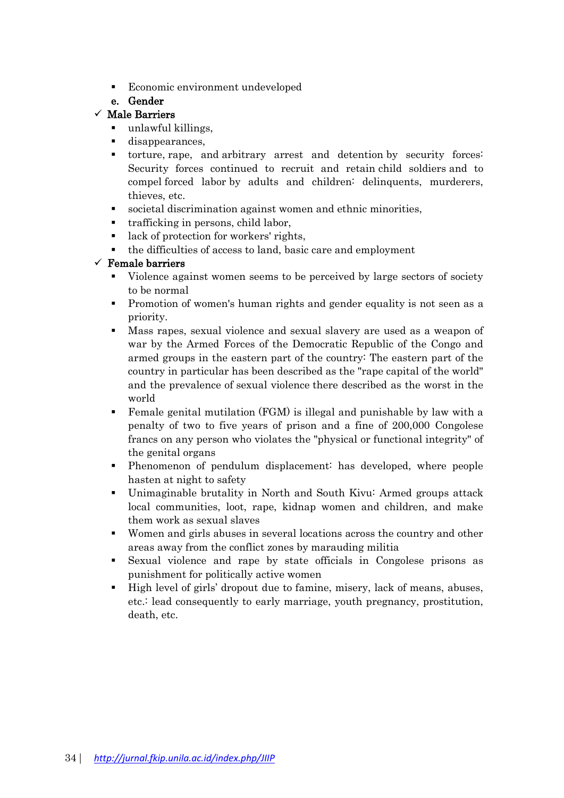▪ Economic environment undeveloped

# e. Gender

# $\checkmark$  Male Barriers

- unlawful killings,
- disappearances,
- torture, rape, and arbitrary arrest and detention by security forces: Security forces continued to recruit and retain child soldiers and to compel forced labor by adults and children: delinquents, murderers, thieves, etc.
- societal discrimination against women and ethnic minorities,
- trafficking in persons, child labor,
- lack of protection for workers' rights,
- the difficulties of access to land, basic care and employment

# $\checkmark$  Female barriers

- Violence against women seems to be perceived by large sectors of society to be normal
- Promotion of women's human rights and gender equality is not seen as a priority.
- Mass rapes, sexual violence and sexual slavery are used as a weapon of war by the Armed Forces of the Democratic Republic of the Congo and armed groups in the eastern part of the country: The eastern part of the country in particular has been described as the "rape capital of the world" and the prevalence of sexual violence there described as the worst in the world
- Female genital mutilation (FGM) is illegal and punishable by law with a penalty of two to five years of prison and a fine of 200,000 Congolese francs on any person who violates the "physical or functional integrity" of the genital organs
- Phenomenon of pendulum displacement: has developed, where people hasten at night to safety
- Unimaginable brutality in North and South Kivu: Armed groups attack local communities, loot, rape, kidnap women and children, and make them work as sexual slaves
- Women and girls abuses in several locations across the country and other areas away from the conflict zones by marauding militia
- Sexual violence and rape by state officials in Congolese prisons as punishment for politically active women
- High level of girls' dropout due to famine, misery, lack of means, abuses, etc.: lead consequently to early marriage, youth pregnancy, prostitution, death, etc.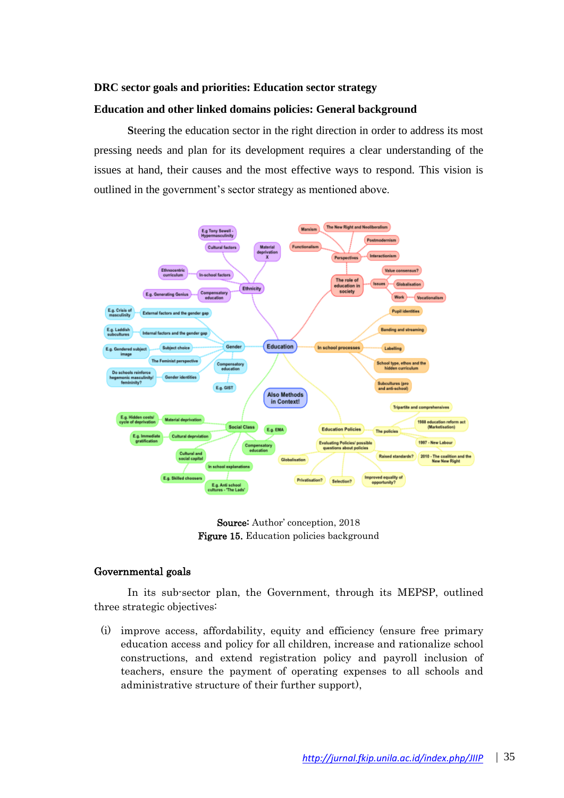### **DRC sector goals and priorities: Education sector strategy**

#### **Education and other linked domains policies: General background**

**S**teering the education sector in the right direction in order to address its most pressing needs and plan for its development requires a clear understanding of the issues at hand, their causes and the most effective ways to respond. This vision is outlined in the government's sector strategy as mentioned above.



Source: Author' conception, 2018 Figure 15. Education policies background

### Governmental goals

In its sub-sector plan, the Government, through its MEPSP, outlined three strategic objectives:

(i) improve access, affordability, equity and efficiency (ensure free primary education access and policy for all children, increase and rationalize school constructions, and extend registration policy and payroll inclusion of teachers, ensure the payment of operating expenses to all schools and administrative structure of their further support),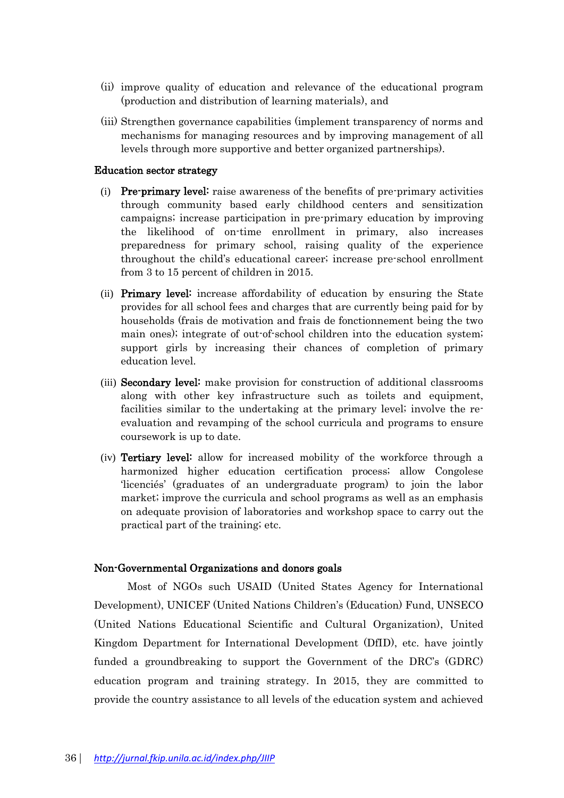- (ii) improve quality of education and relevance of the educational program (production and distribution of learning materials), and
- (iii) Strengthen governance capabilities (implement transparency of norms and mechanisms for managing resources and by improving management of all levels through more supportive and better organized partnerships).

### Education sector strategy

- (i) Pre-primary level: raise awareness of the benefits of pre-primary activities through community based early childhood centers and sensitization campaigns; increase participation in pre-primary education by improving the likelihood of on-time enrollment in primary, also increases preparedness for primary school, raising quality of the experience throughout the child's educational career; increase pre-school enrollment from 3 to 15 percent of children in 2015.
- (ii) Primary level: increase affordability of education by ensuring the State provides for all school fees and charges that are currently being paid for by households (frais de motivation and frais de fonctionnement being the two main ones); integrate of out-of-school children into the education system; support girls by increasing their chances of completion of primary education level.
- (iii) Secondary level: make provision for construction of additional classrooms along with other key infrastructure such as toilets and equipment, facilities similar to the undertaking at the primary level; involve the reevaluation and revamping of the school curricula and programs to ensure coursework is up to date.
- (iv) Tertiary level: allow for increased mobility of the workforce through a harmonized higher education certification process; allow Congolese 'licenciés' (graduates of an undergraduate program) to join the labor market; improve the curricula and school programs as well as an emphasis on adequate provision of laboratories and workshop space to carry out the practical part of the training; etc.

# Non-Governmental Organizations and donors goals

Most of NGOs such USAID (United States Agency for International Development), UNICEF (United Nations Children's (Education) Fund, UNSECO (United Nations Educational Scientific and Cultural Organization), United Kingdom Department for International Development (DfID), etc. have jointly funded a groundbreaking to support the Government of the DRC's (GDRC) education program and training strategy. In 2015, they are committed to provide the country assistance to all levels of the education system and achieved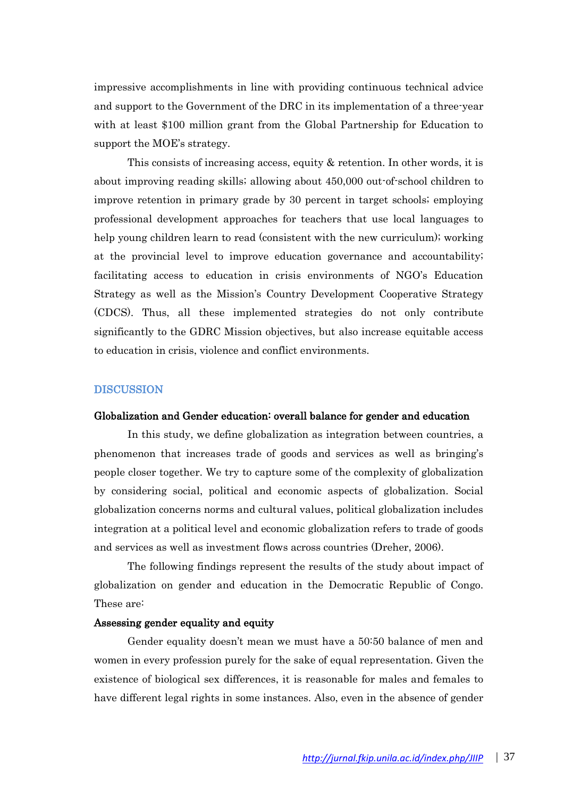impressive accomplishments in line with providing continuous technical advice and support to the Government of the DRC in its implementation of a three-year with at least \$100 million grant from the Global Partnership for Education to support the MOE's strategy.

This consists of increasing access, equity & retention. In other words, it is about improving reading skills; allowing about 450,000 out-of-school children to improve retention in primary grade by 30 percent in target schools; employing professional development approaches for teachers that use local languages to help young children learn to read (consistent with the new curriculum); working at the provincial level to improve education governance and accountability; facilitating access to education in crisis environments of NGO's Education Strategy as well as the Mission's Country Development Cooperative Strategy (CDCS). Thus, all these implemented strategies do not only contribute significantly to the GDRC Mission objectives, but also increase equitable access to education in crisis, violence and conflict environments.

#### **DISCUSSION**

#### Globalization and Gender education: overall balance for gender and education

In this study, we define globalization as integration between countries, a phenomenon that increases trade of goods and services as well as bringing's people closer together. We try to capture some of the complexity of globalization by considering social, political and economic aspects of globalization. Social globalization concerns norms and cultural values, political globalization includes integration at a political level and economic globalization refers to trade of goods and services as well as investment flows across countries (Dreher, 2006).

The following findings represent the results of the study about impact of globalization on gender and education in the Democratic Republic of Congo. These are:

#### Assessing gender equality and equity

Gender equality doesn't mean we must have a 50:50 balance of men and women in every profession purely for the sake of equal representation. Given the existence of biological sex differences, it is reasonable for males and females to have different legal rights in some instances. Also, even in the absence of gender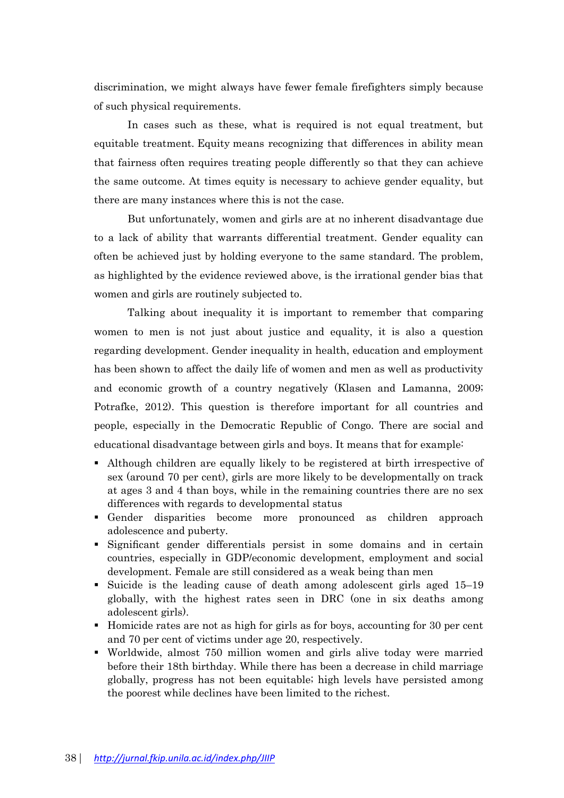discrimination, we might always have fewer female firefighters simply because of such physical requirements.

In cases such as these, what is required is not equal treatment, but equitable treatment. Equity means recognizing that differences in ability mean that fairness often requires treating people differently so that they can achieve the same outcome. At times equity is necessary to achieve gender equality, but there are many instances where this is not the case.

But unfortunately, women and girls are at no inherent disadvantage due to a lack of ability that warrants differential treatment. Gender equality can often be achieved just by holding everyone to the same standard. The problem, as highlighted by the evidence reviewed above, is the irrational gender bias that women and girls are routinely subjected to.

Talking about inequality it is important to remember that comparing women to men is not just about justice and equality, it is also a question regarding development. Gender inequality in health, education and employment has been shown to affect the daily life of women and men as well as productivity and economic growth of a country negatively (Klasen and Lamanna, 2009; Potrafke, 2012). This question is therefore important for all countries and people, especially in the Democratic Republic of Congo. There are social and educational disadvantage between girls and boys. It means that for example:

- Although children are equally likely to be registered at birth irrespective of sex (around 70 per cent), girls are more likely to be developmentally on track at ages 3 and 4 than boys, while in the remaining countries there are no sex differences with regards to developmental status
- Gender disparities become more pronounced as children approach adolescence and puberty.
- Significant gender differentials persist in some domains and in certain countries, especially in GDP/economic development, employment and social development. Female are still considered as a weak being than men
- Suicide is the leading cause of death among adolescent girls aged 15–19 globally, with the highest rates seen in DRC (one in six deaths among adolescent girls).
- Homicide rates are not as high for girls as for boys, accounting for 30 per cent and 70 per cent of victims under age 20, respectively.
- Worldwide, almost 750 million women and girls alive today were married before their 18th birthday. While there has been a decrease in child marriage globally, progress has not been equitable; high levels have persisted among the poorest while declines have been limited to the richest.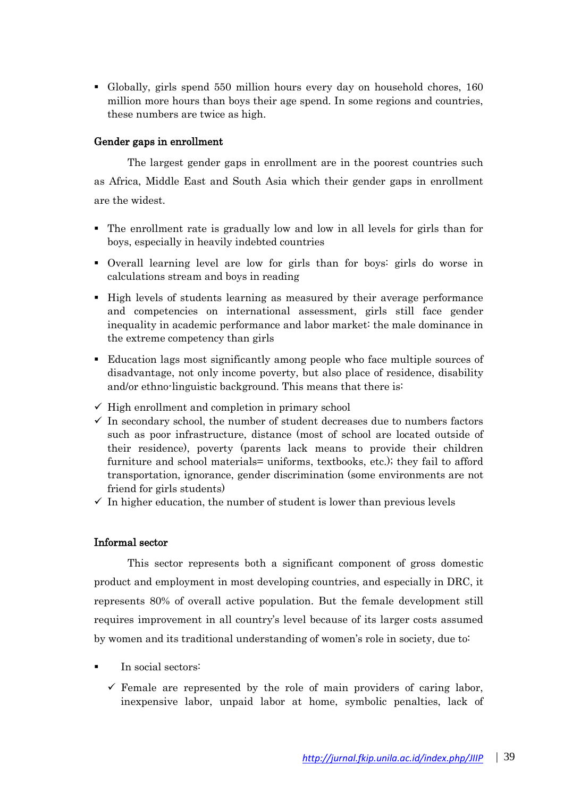▪ Globally, girls spend 550 million hours every day on household chores, 160 million more hours than boys their age spend. In some regions and countries, these numbers are twice as high.

# Gender gaps in enrollment

The largest gender gaps in enrollment are in the poorest countries such as Africa, Middle East and South Asia which their gender gaps in enrollment are the widest.

- The enrollment rate is gradually low and low in all levels for girls than for boys, especially in heavily indebted countries
- Overall learning level are low for girls than for boys: girls do worse in calculations stream and boys in reading
- High levels of students learning as measured by their average performance and competencies on international assessment, girls still face gender inequality in academic performance and labor market: the male dominance in the extreme competency than girls
- Education lags most significantly among people who face multiple sources of disadvantage, not only income poverty, but also place of residence, disability and/or ethno-linguistic background. This means that there is:
- $\checkmark$  High enrollment and completion in primary school
- $\checkmark$  In secondary school, the number of student decreases due to numbers factors such as poor infrastructure, distance (most of school are located outside of their residence), poverty (parents lack means to provide their children furniture and school materials= uniforms, textbooks, etc.); they fail to afford transportation, ignorance, gender discrimination (some environments are not friend for girls students)
- $\checkmark$  In higher education, the number of student is lower than previous levels

# Informal sector

This sector represents both a significant component of gross domestic product and employment in most developing countries, and especially in DRC, it represents 80% of overall active population. But the female development still requires improvement in all country's level because of its larger costs assumed by women and its traditional understanding of women's role in society, due to:

- In social sectors:
	- $\checkmark$  Female are represented by the role of main providers of caring labor, inexpensive labor, unpaid labor at home, symbolic penalties, lack of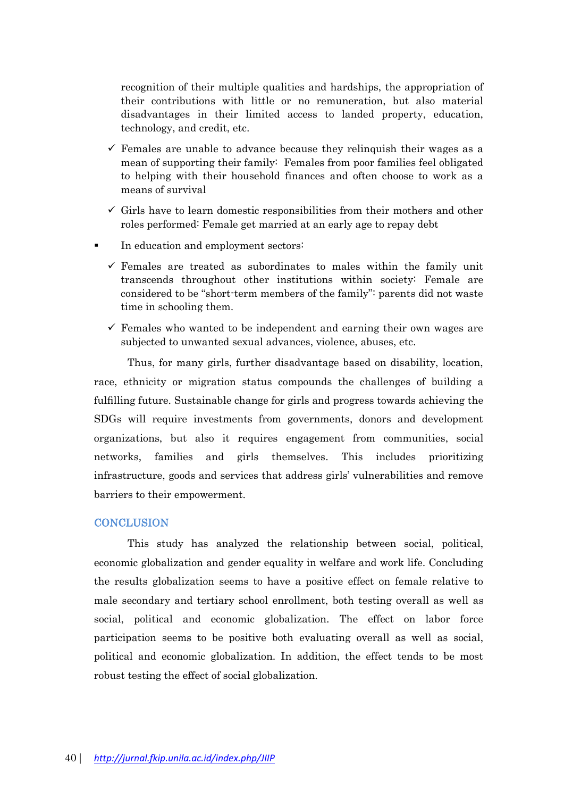recognition of their multiple qualities and hardships, the appropriation of their contributions with little or no remuneration, but also material disadvantages in their limited access to landed property, education, technology, and credit, etc.

- $\checkmark$  Females are unable to advance because they relinquish their wages as a mean of supporting their family: Females from poor families feel obligated to helping with their household finances and often choose to work as a means of survival
- $\checkmark$  Girls have to learn domestic responsibilities from their mothers and other roles performed: Female get married at an early age to repay debt
- In education and employment sectors:
	- $\checkmark$  Females are treated as subordinates to males within the family unit transcends throughout other institutions within society: Female are considered to be "short-term members of the family": parents did not waste time in schooling them.
	- $\checkmark$  Females who wanted to be independent and earning their own wages are subjected to unwanted sexual advances, violence, abuses, etc.

Thus, for many girls, further disadvantage based on disability, location, race, ethnicity or migration status compounds the challenges of building a fulfilling future. Sustainable change for girls and progress towards achieving the SDGs will require investments from governments, donors and development organizations, but also it requires engagement from communities, social networks, families and girls themselves. This includes prioritizing infrastructure, goods and services that address girls' vulnerabilities and remove barriers to their empowerment.

### **CONCLUSION**

This study has analyzed the relationship between social, political, economic globalization and gender equality in welfare and work life. Concluding the results globalization seems to have a positive effect on female relative to male secondary and tertiary school enrollment, both testing overall as well as social, political and economic globalization. The effect on labor force participation seems to be positive both evaluating overall as well as social, political and economic globalization. In addition, the effect tends to be most robust testing the effect of social globalization.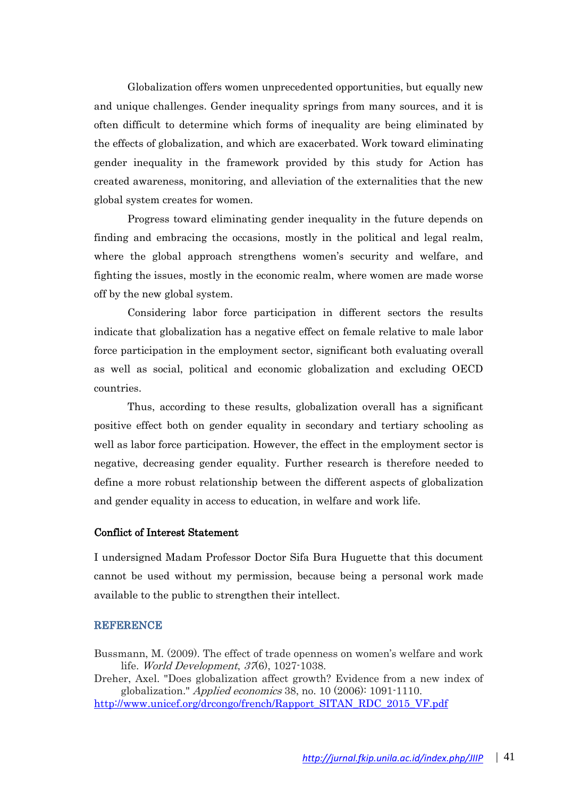Globalization offers women unprecedented opportunities, but equally new and unique challenges. Gender inequality springs from many sources, and it is often difficult to determine which forms of inequality are being eliminated by the effects of globalization, and which are exacerbated. Work toward eliminating gender inequality in the framework provided by this study for Action has created awareness, monitoring, and alleviation of the externalities that the new global system creates for women.

Progress toward eliminating gender inequality in the future depends on finding and embracing the occasions, mostly in the political and legal realm, where the global approach strengthens women's security and welfare, and fighting the issues, mostly in the economic realm, where women are made worse off by the new global system.

Considering labor force participation in different sectors the results indicate that globalization has a negative effect on female relative to male labor force participation in the employment sector, significant both evaluating overall as well as social, political and economic globalization and excluding OECD countries.

Thus, according to these results, globalization overall has a significant positive effect both on gender equality in secondary and tertiary schooling as well as labor force participation. However, the effect in the employment sector is negative, decreasing gender equality. Further research is therefore needed to define a more robust relationship between the different aspects of globalization and gender equality in access to education, in welfare and work life.

### Conflict of Interest Statement

I undersigned Madam Professor Doctor Sifa Bura Huguette that this document cannot be used without my permission, because being a personal work made available to the public to strengthen their intellect.

### **REFERENCE**

Bussmann, M. (2009). The effect of trade openness on women's welfare and work life. World Development, <sup>37</sup>(6), 1027-1038.

Dreher, Axel. "Does globalization affect growth? Evidence from a new index of globalization." Applied economics 38, no. 10 (2006): 1091-1110. [http://www.unicef.org/drcongo/french/Rapport\\_SITAN\\_RDC\\_2015\\_VF.pdf](http://www.unicef.org/drcongo/french/Rapport_SITAN_RDC_2015_VF.pdf)